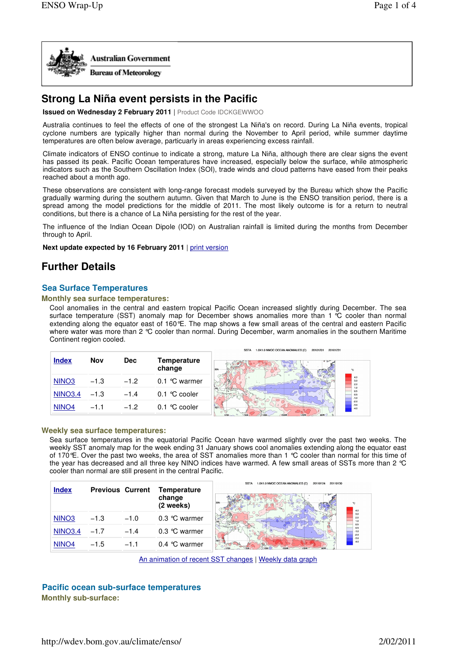

# **Strong La Niña event persists in the Pacific**

**Issued on Wednesday 2 February 2011** | Product Code IDCKGEWWOO

Australia continues to feel the effects of one of the strongest La Niña's on record. During La Niña events, tropical cyclone numbers are typically higher than normal during the November to April period, while summer daytime temperatures are often below average, particuarly in areas experiencing excess rainfall.

Climate indicators of ENSO continue to indicate a strong, mature La Niña, although there are clear signs the event has passed its peak. Pacific Ocean temperatures have increased, especially below the surface, while atmospheric indicators such as the Southern Oscillation Index (SOI), trade winds and cloud patterns have eased from their peaks reached about a month ago.

These observations are consistent with long-range forecast models surveyed by the Bureau which show the Pacific gradually warming during the southern autumn. Given that March to June is the ENSO transition period, there is a spread among the model predictions for the middle of 2011. The most likely outcome is for a return to neutral conditions, but there is a chance of La Niña persisting for the rest of the year.

The influence of the Indian Ocean Dipole (IOD) on Australian rainfall is limited during the months from December through to April.

**Next update expected by 16 February 2011** | print version

# **Further Details**

# **Sea Surface Temperatures**

## **Monthly sea surface temperatures:**

Cool anomalies in the central and eastern tropical Pacific Ocean increased slightly during December. The sea surface temperature (SST) anomaly map for December shows anomalies more than 1 °C cooler than normal extending along the equator east of 160°E. The map shows a few small areas of the central and eastern Pacific where water was more than 2 °C cooler than normal. During December, warm anomalies in the southern Maritime Continent region cooled.

|                   |            |            |                                | 1.0X1.0 NMOC OCEAN ANOMALIES (C)<br><b>SSTA</b><br>20101201<br>20101231 |
|-------------------|------------|------------|--------------------------------|-------------------------------------------------------------------------|
| <b>Index</b>      | <b>Nov</b> | <b>Dec</b> | <b>Temperature</b><br>change   | 30N ------                                                              |
| NINO <sub>3</sub> | $-1.3$     | $-1.2$     | $0.1$ °C warmer                |                                                                         |
| <b>NINO3.4</b>    | $-1.3$     | $-1.4$     | $0.1 \text{ }^{\circ}C$ cooler |                                                                         |
| NINO <sub>4</sub> | $-1.1$     | $-1.2$     | $0.1 \text{ }^{\circ}C$ cooler |                                                                         |

### **Weekly sea surface temperatures:**

Sea surface temperatures in the equatorial Pacific Ocean have warmed slightly over the past two weeks. The weekly SST anomaly map for the week ending 31 January shows cool anomalies extending along the equator east of 170°E. Over the past two weeks, the area of SST anomalies more than 1 °C cooler than normal for this time of the year has decreased and all three key NINO indices have warmed. A few small areas of SSTs more than 2 °C cooler than normal are still present in the central Pacific.



An animation of recent SST changes | Weekly data graph

# **Pacific ocean sub-surface temperatures Monthly sub-surface:**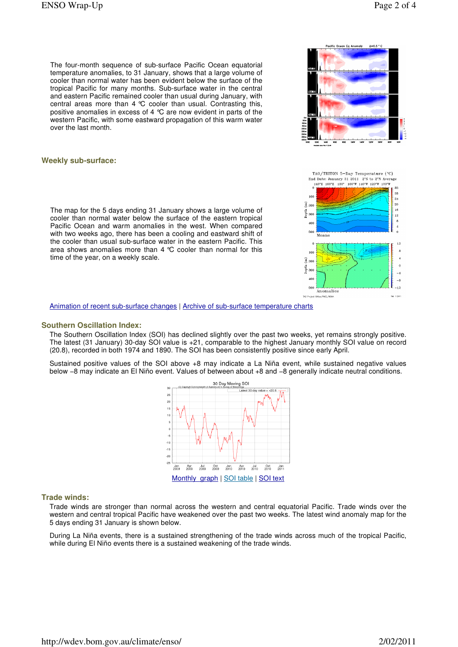$\ddot{\mathbf{0}}$ 

 $-4$ 

 $-\theta$ 

-12

Feb 1.2011

The four-month sequence of sub-surface Pacific Ocean equatorial temperature anomalies, to 31 January, shows that a large volume of cooler than normal water has been evident below the surface of the tropical Pacific for many months. Sub-surface water in the central and eastern Pacific remained cooler than usual during January, with central areas more than 4 °C cooler than usual. Contrasting this, positive anomalies in excess of 4 °C are now evident in parts of the western Pacific, with some eastward propagation of this warm water over the last month.

## **Weekly sub-surface:**

The map for the 5 days ending 31 January shows a large volume of cooler than normal water below the surface of the eastern tropical Pacific Ocean and warm anomalies in the west. When compared with two weeks ago, there has been a cooling and eastward shift of the cooler than usual sub-surface water in the eastern Pacific. This area shows anomalies more than 4 °C cooler than normal for this time of the year, on a weekly scale.



epth 300

 $40<sub>1</sub>$ 

500

Anomalies

Animation of recent sub-surface changes | Archive of sub-surface temperature charts

#### **Southern Oscillation Index:**

The Southern Oscillation Index (SOI) has declined slightly over the past two weeks, yet remains strongly positive. The latest (31 January) 30-day SOI value is +21, comparable to the highest January monthly SOI value on record (20.8), recorded in both 1974 and 1890. The SOI has been consistently positive since early April.

Sustained positive values of the SOI above +8 may indicate a La Niña event, while sustained negative values below −8 may indicate an El Niño event. Values of between about +8 and −8 generally indicate neutral conditions.



#### **Trade winds:**

Trade winds are stronger than normal across the western and central equatorial Pacific. Trade winds over the western and central tropical Pacific have weakened over the past two weeks. The latest wind anomaly map for the 5 days ending 31 January is shown below.

During La Niña events, there is a sustained strengthening of the trade winds across much of the tropical Pacific, while during El Niño events there is a sustained weakening of the trade winds.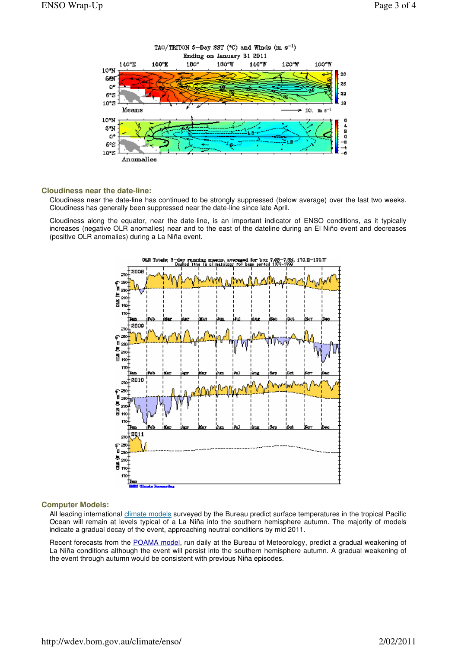

### **Cloudiness near the date-line:**

Cloudiness near the date-line has continued to be strongly suppressed (below average) over the last two weeks. Cloudiness has generally been suppressed near the date-line since late April.

Cloudiness along the equator, near the date-line, is an important indicator of ENSO conditions, as it typically increases (negative OLR anomalies) near and to the east of the dateline during an El Niño event and decreases (positive OLR anomalies) during a La Niña event.



## **Computer Models:**

All leading international climate models surveyed by the Bureau predict surface temperatures in the tropical Pacific Ocean will remain at levels typical of a La Niña into the southern hemisphere autumn. The majority of models indicate a gradual decay of the event, approaching neutral conditions by mid 2011.

Recent forecasts from the POAMA model, run daily at the Bureau of Meteorology, predict a gradual weakening of La Niña conditions although the event will persist into the southern hemisphere autumn. A gradual weakening of the event through autumn would be consistent with previous Niña episodes.